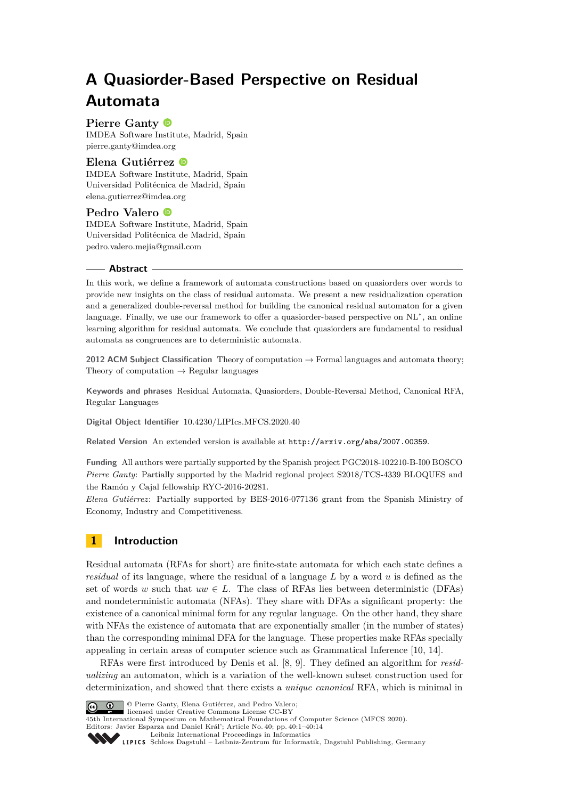# **A Quasiorder-Based Perspective on Residual Automata**

# **Pierre Ganty**

IMDEA Software Institute, Madrid, Spain [pierre.ganty@imdea.org](mailto:pierre.ganty@imdea.org)

## **Elena Gutiérrez**

IMDEA Software Institute, Madrid, Spain Universidad Politécnica de Madrid, Spain [elena.gutierrez@imdea.org](mailto:elena.gutierrez@imdea.org)

## **Pedro Valero**

IMDEA Software Institute, Madrid, Spain Universidad Politécnica de Madrid, Spain [pedro.valero.mejia@gmail.com](mailto:pedro.valero.mejia@gmail.com)

#### **Abstract**

In this work, we define a framework of automata constructions based on quasiorders over words to provide new insights on the class of residual automata. We present a new residualization operation and a generalized double-reversal method for building the canonical residual automaton for a given language. Finally, we use our framework to offer a quasiorder-based perspective on NL<sup>∗</sup>, an online learning algorithm for residual automata. We conclude that quasiorders are fundamental to residual automata as congruences are to deterministic automata.

**2012 ACM Subject Classification** Theory of computation → Formal languages and automata theory; Theory of computation  $\rightarrow$  Regular languages

**Keywords and phrases** Residual Automata, Quasiorders, Double-Reversal Method, Canonical RFA, Regular Languages

**Digital Object Identifier** [10.4230/LIPIcs.MFCS.2020.40](https://doi.org/10.4230/LIPIcs.MFCS.2020.40)

**Related Version** An extended version is available at <http://arxiv.org/abs/2007.00359>.

**Funding** All authors were partially supported by the Spanish project PGC2018-102210-B-I00 BOSCO *Pierre Ganty*: Partially supported by the Madrid regional project S2018/TCS-4339 BLOQUES and the Ramón y Cajal fellowship RYC-2016-20281.

*Elena Gutiérrez*: Partially supported by BES-2016-077136 grant from the Spanish Ministry of Economy, Industry and Competitiveness.

# **1 Introduction**

Residual automata (RFAs for short) are finite-state automata for which each state defines a *residual* of its language, where the residual of a language *L* by a word *u* is defined as the set of words *w* such that  $uw \in L$ . The class of RFAs lies between deterministic (DFAs) and nondeterministic automata (NFAs). They share with DFAs a significant property: the existence of a canonical minimal form for any regular language. On the other hand, they share with NFAs the existence of automata that are exponentially smaller (in the number of states) than the corresponding minimal DFA for the language. These properties make RFAs specially appealing in certain areas of computer science such as Grammatical Inference [\[10,](#page-13-0) [14\]](#page-13-1).

RFAs were first introduced by Denis et al. [\[8,](#page-13-2) [9\]](#page-13-3). They defined an algorithm for *residualizing* an automaton, which is a variation of the well-known subset construction used for determinization, and showed that there exists a *unique canonical* RFA, which is minimal in



**c i**  $\bullet$  Pierre Ganty, Elena Gutiérrez, and Pedro Valero; licensed under Creative Commons License CC-BY

45th International Symposium on Mathematical Foundations of Computer Science (MFCS 2020). Editors: Javier Esparza and Daniel Král'; Article No. 40; pp. 40:1–40[:14](#page-13-4)

[Leibniz International Proceedings in Informatics](https://www.dagstuhl.de/lipics/)

[Schloss Dagstuhl – Leibniz-Zentrum für Informatik, Dagstuhl Publishing, Germany](https://www.dagstuhl.de)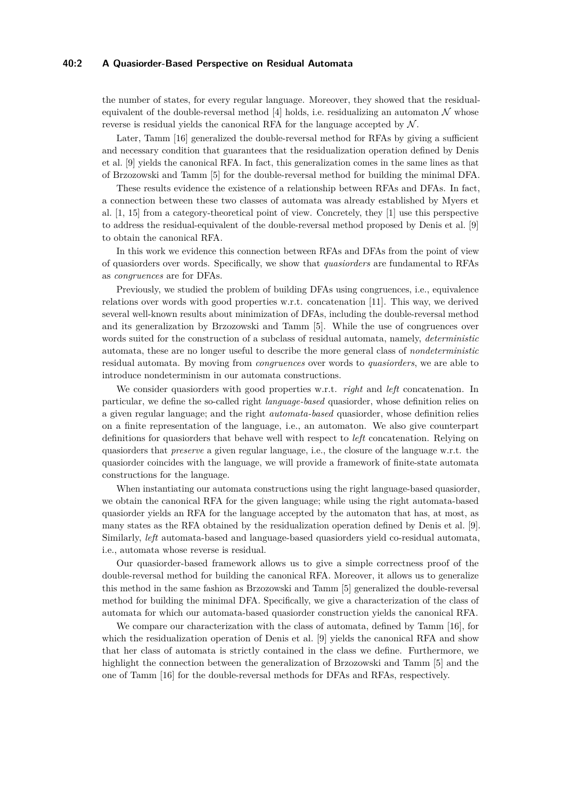## **40:2 A Quasiorder-Based Perspective on Residual Automata**

the number of states, for every regular language. Moreover, they showed that the residual-equivalent of the double-reversal method [\[4\]](#page-12-0) holds, i.e. residualizing an automaton  $\mathcal N$  whose reverse is residual yields the canonical RFA for the language accepted by  $\mathcal{N}$ .

Later, Tamm [\[16\]](#page-13-5) generalized the double-reversal method for RFAs by giving a sufficient and necessary condition that guarantees that the residualization operation defined by Denis et al. [\[9\]](#page-13-3) yields the canonical RFA. In fact, this generalization comes in the same lines as that of Brzozowski and Tamm [\[5\]](#page-12-1) for the double-reversal method for building the minimal DFA.

These results evidence the existence of a relationship between RFAs and DFAs. In fact, a connection between these two classes of automata was already established by Myers et al. [\[1,](#page-12-2) [15\]](#page-13-6) from a category-theoretical point of view. Concretely, they [\[1\]](#page-12-2) use this perspective to address the residual-equivalent of the double-reversal method proposed by Denis et al. [\[9\]](#page-13-3) to obtain the canonical RFA.

In this work we evidence this connection between RFAs and DFAs from the point of view of quasiorders over words. Specifically, we show that *quasiorders* are fundamental to RFAs as *congruences* are for DFAs.

Previously, we studied the problem of building DFAs using congruences, i.e., equivalence relations over words with good properties w.r.t. concatenation [\[11\]](#page-13-7). This way, we derived several well-known results about minimization of DFAs, including the double-reversal method and its generalization by Brzozowski and Tamm [\[5\]](#page-12-1). While the use of congruences over words suited for the construction of a subclass of residual automata, namely, *deterministic* automata, these are no longer useful to describe the more general class of *nondeterministic* residual automata. By moving from *congruences* over words to *quasiorders*, we are able to introduce nondeterminism in our automata constructions.

We consider quasiorders with good properties w.r.t. *right* and *left* concatenation. In particular, we define the so-called right *language-based* quasiorder, whose definition relies on a given regular language; and the right *automata-based* quasiorder, whose definition relies on a finite representation of the language, i.e., an automaton. We also give counterpart definitions for quasiorders that behave well with respect to *left* concatenation. Relying on quasiorders that *preserve* a given regular language, i.e., the closure of the language w.r.t. the quasiorder coincides with the language, we will provide a framework of finite-state automata constructions for the language.

When instantiating our automata constructions using the right language-based quasiorder, we obtain the canonical RFA for the given language; while using the right automata-based quasiorder yields an RFA for the language accepted by the automaton that has, at most, as many states as the RFA obtained by the residualization operation defined by Denis et al. [\[9\]](#page-13-3). Similarly, *left* automata-based and language-based quasiorders yield co-residual automata, i.e., automata whose reverse is residual.

Our quasiorder-based framework allows us to give a simple correctness proof of the double-reversal method for building the canonical RFA. Moreover, it allows us to generalize this method in the same fashion as Brzozowski and Tamm [\[5\]](#page-12-1) generalized the double-reversal method for building the minimal DFA. Specifically, we give a characterization of the class of automata for which our automata-based quasiorder construction yields the canonical RFA.

We compare our characterization with the class of automata, defined by Tamm [\[16\]](#page-13-5), for which the residualization operation of Denis et al. [\[9\]](#page-13-3) yields the canonical RFA and show that her class of automata is strictly contained in the class we define. Furthermore, we highlight the connection between the generalization of Brzozowski and Tamm [\[5\]](#page-12-1) and the one of Tamm [\[16\]](#page-13-5) for the double-reversal methods for DFAs and RFAs, respectively.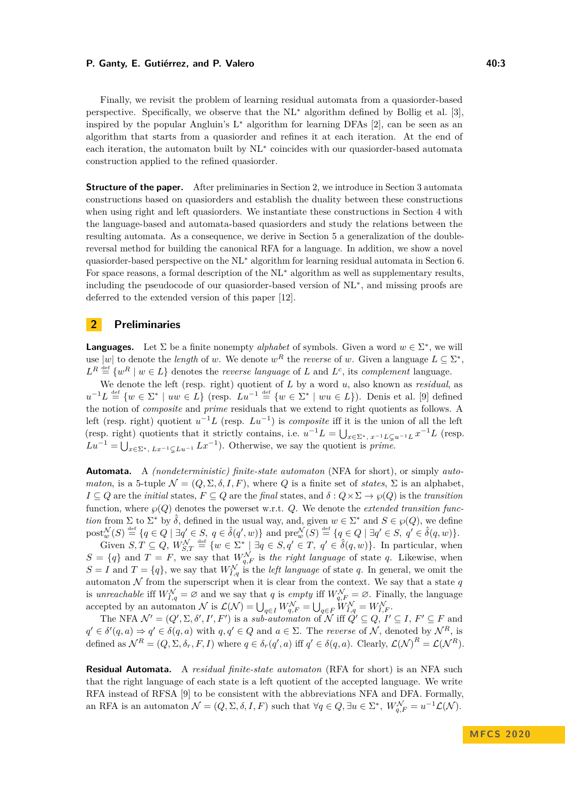#### **P. Ganty, E. Gutiérrez, and P. Valero 40:3 Allerty 10:3 40:3 40:3**

Finally, we revisit the problem of learning residual automata from a quasiorder-based perspective. Specifically, we observe that the NL<sup>∗</sup> algorithm defined by Bollig et al. [\[3\]](#page-12-3), inspired by the popular Angluin's  $L^*$  algorithm for learning DFAs [\[2\]](#page-12-4), can be seen as an algorithm that starts from a quasiorder and refines it at each iteration. At the end of each iteration, the automaton built by NL<sup>∗</sup> coincides with our quasiorder-based automata construction applied to the refined quasiorder.

**Structure of the paper.** After preliminaries in Section [2,](#page-2-0) we introduce in Section [3](#page-3-0) automata constructions based on quasiorders and establish the duality between these constructions when using right and left quasiorders. We instantiate these constructions in Section [4](#page-5-0) with the language-based and automata-based quasiorders and study the relations between the resulting automata. As a consequence, we derive in Section [5](#page-7-0) a generalization of the doublereversal method for building the canonical RFA for a language. In addition, we show a novel quasiorder-based perspective on the NL<sup>∗</sup> algorithm for learning residual automata in Section [6.](#page-10-0) For space reasons, a formal description of the NL<sup>∗</sup> algorithm as well as supplementary results, including the pseudocode of our quasiorder-based version of NL<sup>∗</sup> , and missing proofs are deferred to the extended version of this paper [\[12\]](#page-13-8).

## <span id="page-2-0"></span>**2 Preliminaries**

**Languages.** Let  $\Sigma$  be a finite nonempty *alphabet* of symbols. Given a word  $w \in \Sigma^*$ , we will use |w| to denote the *length* of *w*. We denote  $w^R$  the *reverse* of *w*. Given a language  $L \subseteq \Sigma^*$ ,  $L^R \stackrel{\text{def}}{=} \{w^R \mid w \in L\}$  denotes the *reverse language* of *L* and  $L^c$ , its *complement* language.

We denote the left (resp. right) quotient of *L* by a word *u*, also known as *residual*, as  $u^{-1}L \stackrel{\text{def}}{=} \{w \in \Sigma^* \mid uw \in L\}$  (resp.  $Lu^{-1} \stackrel{\text{def}}{=} \{w \in \Sigma^* \mid wu \in L\}$ ). Denis et al. [\[9\]](#page-13-3) defined the notion of *composite* and *prime* residuals that we extend to right quotients as follows. A left (resp. right) quotient  $u^{-1}L$  (resp.  $Lu^{-1}$ ) is *composite* iff it is the union of all the left (resp. right) quotients that it strictly contains, i.e.  $u^{-1}L = \bigcup_{x \in \Sigma^*, x^{-1}L \subsetneq u^{-1}L} x^{-1}L$  (resp.  $Lu^{-1} = \bigcup_{x \in \Sigma^*} Lx^{-1} \subsetneq Lu^{-1}$  *Lx*<sup>-1</sup>). Otherwise, we say the quotient is *prime*.

**Automata.** A *(nondeterministic) finite-state automaton* (NFA for short), or simply *automaton*, is a 5-tuple  $\mathcal{N} = (Q, \Sigma, \delta, I, F)$ , where *Q* is a finite set of *states*,  $\Sigma$  is an alphabet,  $I \subseteq Q$  are the *initial* states,  $F \subseteq Q$  are the *final* states, and  $\delta : Q \times \Sigma \to \wp(Q)$  is the *transition* function, where  $\wp(Q)$  denotes the powerset w.r.t.  $Q$ . We denote the *extended transition function* from  $\Sigma$  to  $\Sigma^*$  by  $\hat{\delta}$ , defined in the usual way, and, given  $w \in \Sigma^*$  and  $S \in \wp(Q)$ , we define  $\text{post}_{w}^{\mathcal{N}}(S) \stackrel{\text{def}}{=} \{q \in Q \mid \exists q' \in S, q \in \hat{\delta}(q',w)\}\$ and  $\text{pre}_{w}^{\mathcal{N}}(S) \stackrel{\text{def}}{=} \{q \in Q \mid \exists q' \in S, q' \in \hat{\delta}(q,w)\}.$ 

Given  $S, T \subseteq Q$ ,  $W_{S,T}^{\mathcal{N}} \stackrel{\text{def}}{=} \{w \in \Sigma^* \mid \exists q \in S, q' \in T, q' \in \hat{\delta}(q, w)\}.$  In particular, when  $S = \{q\}$  and  $T = F$ , we say that  $W_{q,F}^{\mathcal{N}}$  is the right language of state q. Likewise, when  $S = I$  and  $T = \{q\}$ , we say that  $W_{I,q}^{\mathcal{N}}$  is the *left language* of state *q*. In general, we omit the automaton  $N$  from the superscript when it is clear from the context. We say that a state  $q$ is *unreachable* iff  $W_{I,q}^{\mathcal{N}} = \varnothing$  and we say that *q* is *empty* iff  $W_{q,F}^{\mathcal{N}} = \varnothing$ . Finally, the language accepted by an automaton  $\mathcal{N}$  is  $\mathcal{L}(\mathcal{N}) = \bigcup_{q \in I} W_{q,F}^{\mathcal{N}} = \bigcup_{q \in F} W_{I,q}^{\mathcal{N}} = W_{I,F}^{\mathcal{N}}$ .

The NFA  $\mathcal{N}' = (Q', \Sigma, \delta', I', F')$  is a *sub-automaton* of  $\mathcal{N}$  iff  $Q' \subseteq Q, I' \subseteq I, F' \subseteq F$  and  $q' \in \delta'(q, a) \Rightarrow q' \in \delta(q, a)$  with  $q, q' \in Q$  and  $a \in \Sigma$ . The *reverse* of N, denoted by  $\mathcal{N}^R$ , is defined as  $\mathcal{N}^R = (Q, \Sigma, \delta_r, F, I)$  where  $q \in \delta_r(q', a)$  iff  $q' \in \delta(q, a)$ . Clearly,  $\mathcal{L}(\mathcal{N})^R = \mathcal{L}(\mathcal{N}^R)$ .

**Residual Automata.** A *residual finite-state automaton* (RFA for short) is an NFA such that the right language of each state is a left quotient of the accepted language. We write RFA instead of RFSA [\[9\]](#page-13-3) to be consistent with the abbreviations NFA and DFA. Formally, an RFA is an automaton  $\mathcal{N} = (Q, \Sigma, \delta, I, F)$  such that  $\forall q \in Q, \exists u \in \Sigma^*, W_{q,F}^{\mathcal{N}} = u^{-1} \mathcal{L}(\mathcal{N}).$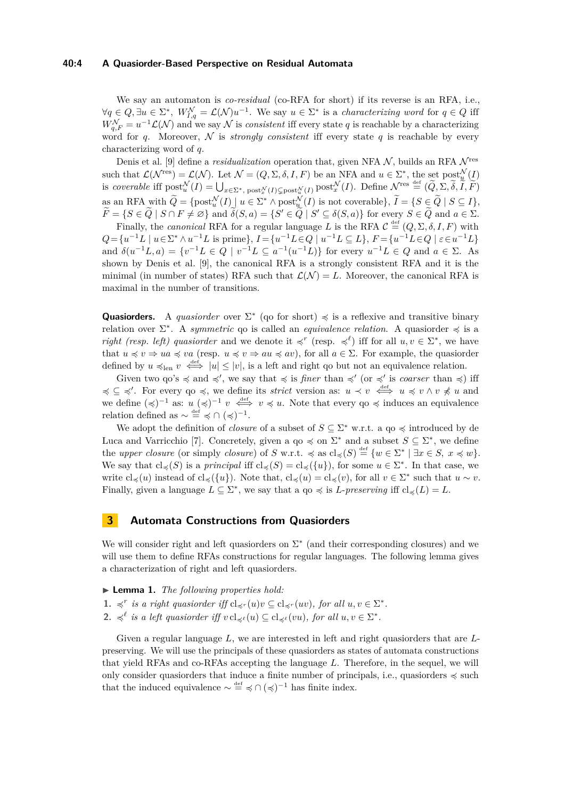#### **40:4 A Quasiorder-Based Perspective on Residual Automata**

We say an automaton is *co-residual* (co-RFA for short) if its reverse is an RFA, i.e.,  $\forall q \in Q, \exists u \in \Sigma^*, \ W_{I,q}^{\mathcal{N}} = \mathcal{L}(\mathcal{N})u^{-1}.$  We say  $u \in \Sigma^*$  is a *characterizing word* for  $q \in Q$  iff  $W_{q,F}^{\mathcal{N}} = u^{-1}\mathcal{L}(\mathcal{N})$  and we say  $\mathcal N$  is *consistent* iff every state *q* is reachable by a characterizing word for *q*. Moreover,  $\mathcal N$  is *strongly consistent* iff every state *q* is reachable by every characterizing word of *q*.

Denis et al. [\[9\]](#page-13-3) define a *residualization* operation that, given NFA  $N$ , builds an RFA  $N^{\text{res}}$ such that  $\mathcal{L}(\mathcal{N}^{\text{res}}) = \mathcal{L}(\mathcal{N})$ . Let  $\mathcal{N} = (Q, \Sigma, \delta, I, F)$  be an NFA and  $u \in \Sigma^*$ , the set  $\text{post}_{u}^{\mathcal{N}}(I)$ is coverable iff  $\text{post}_{u}^{\mathcal{N}}(I) = \bigcup_{x \in \Sigma^*} \text{post}_{x}^{\mathcal{N}}(I) \subsetneq \text{post}_{u}^{\mathcal{N}}(I)$   $\text{post}_{x}^{\mathcal{N}}(I)$ . Define  $\mathcal{N}^{\text{res}} \stackrel{\text{def}}{=} (\widetilde{Q}, \Sigma, \widetilde{\delta}, \widetilde{I}, \widetilde{F})$ as an RFA with  $\widetilde{Q} = \{\text{post}_{u}^{\mathcal{N}}(I) \mid u \in \Sigma^* \wedge \text{post}_{u}^{\mathcal{N}}(I) \text{ is not coverable}\}, \widetilde{I} = \{S \in \widetilde{Q} \mid S \subseteq I\},\$  $\widetilde{F} = \{ S \in \widetilde{Q} \mid S \cap F \neq \varnothing \}$  and  $\widetilde{\delta}(S, a) = \{ S' \in \widetilde{Q} \mid S' \subseteq \delta(S, a) \}$  for every  $S \in \widetilde{Q}$  and  $a \in \Sigma$ .

Finally, the *canonical* RFA for a regular language L is the RFA  $\mathcal{C} \stackrel{\text{def}}{=} (Q, \Sigma, \delta, I, F)$  with  $Q = \{u^{-1}L \mid u \in \Sigma^* \wedge u^{-1}L \text{ is prime}\}, I = \{u^{-1}L \in Q \mid u^{-1}L \subseteq L\}, F = \{u^{-1}L \in Q \mid \varepsilon \in u^{-1}L\}$ and  $\delta(u^{-1}L, a) = \{v^{-1}L \in Q \mid v^{-1}L \subseteq a^{-1}(u^{-1}L)\}$  for every  $u^{-1}L \in Q$  and  $a \in \Sigma$ . As shown by Denis et al. [\[9\]](#page-13-3), the canonical RFA is a strongly consistent RFA and it is the minimal (in number of states) RFA such that  $\mathcal{L}(\mathcal{N}) = L$ . Moreover, the canonical RFA is maximal in the number of transitions.

**Quasiorders.** A *quasiorder* over  $\Sigma^*$  (qo for short)  $\preccurlyeq$  is a reflexive and transitive binary relation over  $\Sigma^*$ . A *symmetric* qo is called an *equivalence relation*. A quasiorder  $\preccurlyeq$  is a *right (resp. left) quasiorder* and we denote it  $\preccurlyeq^r$  (resp.  $\preccurlyeq^{\ell}$ ) iff for all  $u, v \in \Sigma^*$ , we have that  $u \preccurlyeq v \Rightarrow ua \preccurlyeq va$  (resp.  $u \preccurlyeq v \Rightarrow au \preccurlyeq av$ ), for all  $a \in \Sigma$ . For example, the quasioneer defined by  $u \preccurlyeq_{\text{len}} v \stackrel{\text{def}}{\iff} |u| \leq |v|$ , is a left and right qo but not an equivalence relation.

Given two qo's  $\preccurlyeq$  and  $\preccurlyeq'$ , we say that  $\preccurlyeq$  is *finer* than  $\preccurlyeq'$  (or  $\preccurlyeq'$  is *coarser* than  $\preccurlyeq$ ) iff  $\leq$   $\leq$   $\leq$ '. For every qo  $\leq$ , we define its *strict* version as:  $u \lt v \stackrel{\text{def}}{\iff} u \leq v \wedge v \nleq u$  and we define  $(\preccurlyeq)^{-1}$  as:  $u(\preccurlyeq)^{-1}$   $v \iff v \preccurlyeq u$ . Note that every  $q_0 \preccurlyeq u$  induces an equivalence relation defined as  $\sim \frac{\text{def}}{\epsilon} \leq \epsilon \cap (\leq 1)^{-1}$ .

We adopt the definition of *closure* of a subset of  $S \subseteq \Sigma^*$  w.r.t. a qo  $\preccurlyeq$  introduced by de Luca and Varricchio [\[7\]](#page-13-9). Concretely, given a qo  $\preccurlyeq$  on  $\Sigma^*$  and a subset  $S \subseteq \Sigma^*$ , we define the *upper closure* (or simply *closure*) of *S* w.r.t.  $\preccurlyeq$  as  $cl_{\preccurlyeq}(S) \stackrel{\text{def}}{=} \{w \in \Sigma^* \mid \exists x \in S, x \preccurlyeq w\}.$ We say that  $cl_{\preccurlyeq}(S)$  is a *principal* iff  $cl_{\preccurlyeq}(S) = cl_{\preccurlyeq}(\{u\})$ , for some  $u \in \Sigma^*$ . In that case, we write  $cl_{\preccurlyeq}(u)$  instead of  $cl_{\preccurlyeq}(\{u\})$ . Note that,  $cl_{\preccurlyeq}(u) = cl_{\preccurlyeq}(v)$ , for all  $v \in \Sigma^*$  such that  $u \sim v$ . Finally, given a language  $L \subseteq \Sigma^*$ , we say that a qo  $\preccurlyeq$  is *L*-preserving iff  $cl_{\preccurlyeq}(L) = L$ .

## <span id="page-3-0"></span>**3 Automata Constructions from Quasiorders**

We will consider right and left quasiorders on  $\Sigma^*$  (and their corresponding closures) and we will use them to define RFAs constructions for regular languages. The following lemma gives a characterization of right and left quasiorders.

- I **Lemma 1.** *The following properties hold:*
- **1.**  $\preccurlyeq^r$  *is a right quasiorder iff*  $cl_{\preccurlyeq^r}(u)v \subseteq cl_{\preccurlyeq^r}(uv)$ *, for all*  $u, v \in \Sigma^*$ *.*
- 2.  $\preccurlyeq^{\ell}$  *is a left quasiorder iff*  $v \text{ cl}_{\preccurlyeq^{\ell}}(u) \subseteq \text{ cl}_{\preccurlyeq^{\ell}}(vu)$ *, for all*  $u, v \in \Sigma^*$ *.*

Given a regular language *L*, we are interested in left and right quasiorders that are *L*preserving. We will use the principals of these quasiorders as states of automata constructions that yield RFAs and co-RFAs accepting the language *L*. Therefore, in the sequel, we will only consider quasiorders that induce a finite number of principals, i.e., quasiorders  $\preccurlyeq$  such that the induced equivalence  $\sim \frac{def}{=} \preccurlyeq \cap (\preccurlyeq)^{-1}$  has finite index.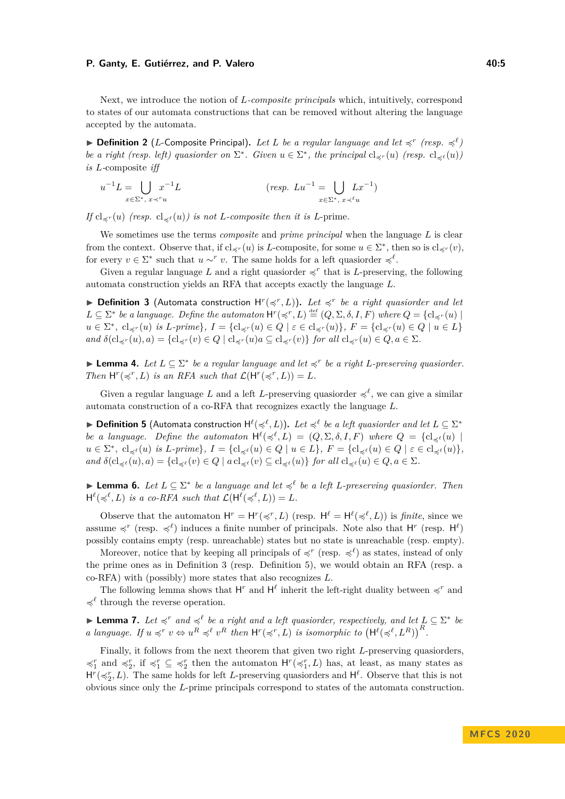#### **P. Ganty, E. Gutiérrez, and P. Valero 40:5 Allerty 10:5 40:5 40:5**

Next, we introduce the notion of *L-composite principals* which, intuitively, correspond to states of our automata constructions that can be removed without altering the language accepted by the automata.

**Definition 2** (*L*-Composite Principal). Let *L* be a regular language and let  $\preccurlyeq^r$  (resp.  $\preccurlyeq^{\ell}$ ) *be a right (resp. left) quasiorder on*  $\Sigma^*$ *. Given*  $u \in \Sigma^*$ *, the principal*  $\text{cl}_{\preceq^r}(u)$  *(resp.*  $\text{cl}_{\preceq^{\ell}}(u)$ ) *is L-*composite *iff*

$$
u^{-1}L = \bigcup_{x \in \Sigma^*, x \prec^r u} x^{-1}L \qquad (\text{resp. } Lu^{-1} = \bigcup_{x \in \Sigma^*, x \prec^{\ell} u} Lx^{-1})
$$

*If*  $cl_{\preccurlyeq r}(u)$  *(resp.*  $cl_{\preccurlyeq \ell}(u)$ *) is not L*-composite then it is *L*-prime.

We sometimes use the terms *composite* and *prime principal* when the language *L* is clear from the context. Observe that, if  $cl_{\preccurlyeq r}(u)$  is *L*-composite, for some  $u \in \Sigma^*$ , then so is  $cl_{\preccurlyeq r}(v)$ , for every  $v \in \Sigma^*$  such that  $u \sim^r v$ . The same holds for a left quasioner  $\preccurlyeq^\ell$ .

Given a regular language L and a right quasiorder  $\preccurlyeq^r$  that is L-preserving, the following automata construction yields an RFA that accepts exactly the language *L*.

<span id="page-4-0"></span>**Definition 3** (Automata construction  $H^r(\preccurlyeq^r, L)$ ). Let  $\preccurlyeq^r$  be a right quasiorder and let  $L \subseteq \Sigma^*$  *be a language. Define the automaton*  $H^r(\preccurlyeq^r, L) \stackrel{\text{def}}{=} (Q, \Sigma, \delta, I, F)$  *where*  $Q = \{cl_{\preccurlyeq^r}(u) \mid$  $u \in \Sigma^*$ ,  $cl_{\preccurlyeq r}(u)$  is L-prime},  $I = \{ cl_{\preccurlyeq r}(u) \in Q \mid \varepsilon \in cl_{\preccurlyeq r}(u) \}$ ,  $F = \{ cl_{\preccurlyeq r}(u) \in Q \mid u \in L \}$  $\partial$  *and*  $\delta$ (cl<sub> $\preccurlyeq$ </sub>  $r(u), a$ ) = {cl<sub> $\preccurlyeq$ </sub>  $r(v) \in Q$  | cl<sub> $\preccurlyeq$ </sub>  $r(u)$   $a \subseteq c$ l<sub> $\preccurlyeq$ </sub> $r(v)$ } *for all*  $c$ l<sub> $\preccurlyeq$  $r(u) \in Q, a \in \Sigma$ *.*</sub>

<span id="page-4-2"></span>► **Lemma 4.** *Let*  $L \subseteq \Sigma^*$  *be a regular language and let*  $\preccurlyeq^r$  *be a right L*-preserving quasiorder. *Then*  $H^r(\preccurlyeq^r, L)$  *is an RFA such that*  $\mathcal{L}(H^r(\preccurlyeq^r, L)) = L$ .

Given a regular language L and a left L-preserving quasiorder  $\preccurlyeq^{\ell}$ , we can give a similar automata construction of a co-RFA that recognizes exactly the language *L*.

<span id="page-4-1"></span>▶ **Definition 5** (Automata construction  $H^{\ell}(\preccurlyeq^{\ell}, L)$ ). Let  $\preccurlyeq^{\ell}$  be a left quasiorder and let  $L \subseteq \Sigma^*$ *be a language. Define the automaton*  $H^{\ell}(\preccurlyeq^{\ell}, L) = (Q, \Sigma, \delta, I, F)$  where  $Q = \{cl_{\preccurlyeq^{\ell}}(u) \mid$  $u \in \Sigma^*, \ \mathrm{cl}_{\preccurlyeq \ell}(u) \ \text{is } L\text{-prime}\}, I = \{\mathrm{cl}_{\preccurlyeq \ell}(u) \in Q \mid u \in L\}, F = \{\mathrm{cl}_{\preccurlyeq \ell}(u) \in Q \mid \varepsilon \in \mathrm{cl}_{\preccurlyeq \ell}(u)\},$  $\text{and } \delta(\text{cl}_{\preceq^\ell}(u), a) = \{\text{cl}_{\preceq^\ell}(v) \in Q \mid a \text{ cl}_{\preceq^\ell}(v) \subseteq \text{cl}_{\preceq^\ell}(u)\}\ \text{for all } \text{cl}_{\preceq^\ell}(u) \in Q, a \in \Sigma.$ 

<span id="page-4-3"></span>**► Lemma 6.** Let  $L \subseteq \Sigma^*$  be a language and let  $\preccurlyeq^{\ell}$  be a left *L*-preserving quasiorder. Then  $H^{\ell}(\preccurlyeq^{\ell}, L)$  *is a co-RFA such that*  $\mathcal{L}(H^{\ell}(\preccurlyeq^{\ell}, L)) = L$ .

Observe that the automaton  $H^r = H^r(\preccurlyeq^r, L)$  (resp.  $H^\ell = H^\ell(\preccurlyeq^\ell, L)$ ) is *finite*, since we assume  $\preccurlyeq^r$  (resp.  $\preccurlyeq^\ell$ ) induces a finite number of principals. Note also that H<sup>r</sup> (resp. H<sup> $\ell$ </sup>) possibly contains empty (resp. unreachable) states but no state is unreachable (resp. empty).

Moreover, notice that by keeping all principals of  $\preccurlyeq^r$  (resp.  $\preccurlyeq^\ell$ ) as states, instead of only the prime ones as in Definition [3](#page-4-0) (resp. Definition [5\)](#page-4-1), we would obtain an RFA (resp. a co-RFA) with (possibly) more states that also recognizes *L*.

The following lemma shows that  $H^r$  and  $H^\ell$  inherit the left-right duality between  $\preccurlyeq^r$  and  $\preccurlyeq^\ell$  through the reverse operation.

<span id="page-4-4"></span>► Lemma 7. Let  $\preccurlyeq^r$  and  $\preccurlyeq^{\ell}$  be a right and a left quasiorder, respectively, and let  $L \subseteq \Sigma^*$  be a language. If  $u \preccurlyeq^r v \Leftrightarrow u^R \preccurlyeq^{\ell} v^R$  then  $H^r(\preccurlyeq^r, L)$  is isomorphic to  $(H^{\ell}(\preccurlyeq^{\ell}, L^R))^R$ .

Finally, it follows from the next theorem that given two right *L*-preserving quasiorders,  $\preccurlyeq_1^r$  and  $\preccurlyeq_2^r$ , if  $\preccurlyeq_1^r \subseteq \preccurlyeq_2^r$  then the automaton  $H^r(\preccurlyeq_1^r, L)$  has, at least, as many states as  $H^r(\preccurlyeq_L^r, L)$ . The same holds for left *L*-preserving quasiorders and  $H^{\ell}$ . Observe that this is not obvious since only the *L*-prime principals correspond to states of the automata construction.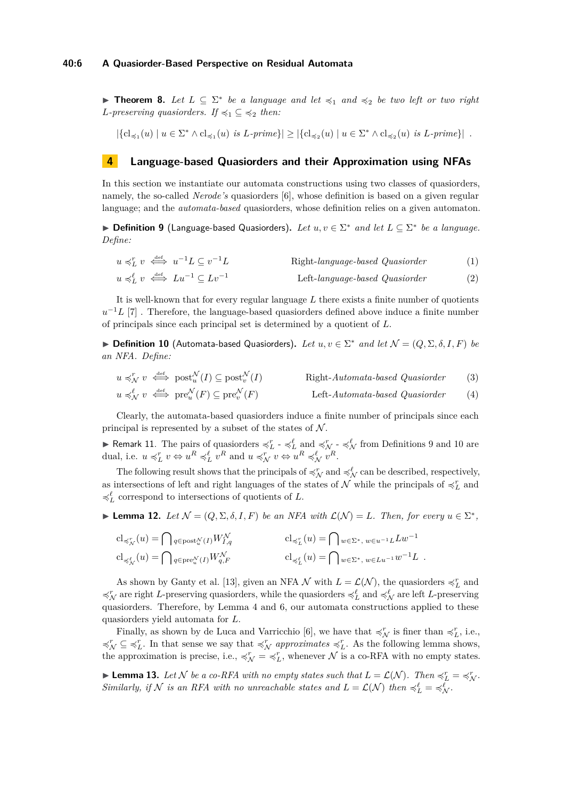<span id="page-5-4"></span>**Theorem 8.** Let  $L \subseteq \Sigma^*$  be a language and let  $\preccurlyeq_1$  and  $\preccurlyeq_2$  be two left or two right *L-preserving quasiorders. If*  $\preccurlyeq_1 \subseteq \preccurlyeq_2$  *then:* 

 $|\{\text{cl}_{\preccurlyeq_1}(u) \mid u \in \Sigma^* \land \text{cl}_{\preccurlyeq_1}(u) \text{ is } L\text{-prime}\}| \geq |\{\text{cl}_{\preccurlyeq_2}(u) \mid u \in \Sigma^* \land \text{cl}_{\preccurlyeq_2}(u) \text{ is } L\text{-prime}\}|.$ 

## <span id="page-5-0"></span>**4 Language-based Quasiorders and their Approximation using NFAs**

In this section we instantiate our automata constructions using two classes of quasiorders, namely, the so-called *Nerode's* quasiorders [\[6\]](#page-13-10), whose definition is based on a given regular language; and the *automata-based* quasiorders, whose definition relies on a given automaton.

<span id="page-5-1"></span>▶ **Definition 9** (Language-based Quasiorders). Let  $u, v \in \Sigma^*$  and let  $L \subseteq \Sigma^*$  be a language. *Define:*

$$
u \preceq_L^r v \stackrel{\text{def}}{\iff} u^{-1}L \subseteq v^{-1}L \qquad \text{Right-language-based Quasiorder}
$$
  
\n
$$
u \preceq_L^\ell v \stackrel{\text{def}}{\iff} Lu^{-1} \subseteq Lv^{-1} \qquad \text{Left-language-based Quasiorder}
$$
 (1)

It is well-known that for every regular language *L* there exists a finite number of quotients  $u^{-1}L$  [\[7\]](#page-13-9) . Therefore, the language-based quasiorders defined above induce a finite number of principals since each principal set is determined by a quotient of *L*.

<span id="page-5-2"></span>► **Definition 10** (Automata-based Quasiorders). Let  $u, v \in \Sigma^*$  and let  $\mathcal{N} = (Q, \Sigma, \delta, I, F)$  be *an NFA. Define:*

$$
u \preccurlyeq_N^r v \stackrel{\text{def}}{\iff} \text{post}_u^{\mathcal{N}}(I) \subseteq \text{post}_v^{\mathcal{N}}(I) \qquad \text{Right-Automata-based Quasiorder} \tag{3}
$$
  

$$
u \preccurlyeq_N^{\ell} v \stackrel{\text{def}}{\iff} \text{pre}_u^{\mathcal{N}}(F) \subseteq \text{pre}_v^{\mathcal{N}}(F) \qquad \text{Left-Automata-based Quasiorder} \tag{4}
$$

Clearly, the automata-based quasiorders induce a finite number of principals since each principal is represented by a subset of the states of  $\mathcal N$ .

<span id="page-5-3"></span>**F** Remark 11. The pairs of quasionders  $\preccurlyeq_L^r \text{ and } \preccurlyeq_N^r \text{ and } \preccurlyeq_N^{\ell}$  from Definitions [9](#page-5-1) and [10](#page-5-2) are dual, i.e.  $u \preccurlyeq_L^r v \Leftrightarrow u^R \preccurlyeq_L^{\ell} v^R$  and  $u \preccurlyeq_N^r v \Leftrightarrow u^R \preccurlyeq_N^{\ell} v^R$ .

The following result shows that the principals of  $\preccurlyeq_N^r$  and  $\preccurlyeq_N^\ell$  can be described, respectively, as intersections of left and right languages of the states of  $\mathcal N$  while the principals of  $\preccurlyeq_L^r$  and  $\preccurlyeq_L^\ell$  correspond to intersections of quotients of  $L.$ 

<span id="page-5-6"></span>► Lemma 12. Let  $\mathcal{N} = (Q, \Sigma, \delta, I, F)$  be an NFA with  $\mathcal{L}(\mathcal{N}) = L$ *. Then, for every*  $u \in \Sigma^*$ *,* 

$$
\begin{aligned}\n\mathbf{cl}_{\preccurlyeq^r_{\mathcal{N}}}(u) &= \bigcap_{q \in \text{post}^{\mathcal{N}}_{u}(I)} W^{\mathcal{N}}_{I,q} & \qquad & \mathbf{cl}_{\preccurlyeq^r_{L}}(u) &= \bigcap_{w \in \Sigma^*, \ w \in u^{-1}L} L w^{-1} \\
\mathbf{cl}_{\preccurlyeq^{\ell}_{\mathcal{N}}}(u) &= \bigcap_{q \in \text{pre}^{\mathcal{N}}_{u}(I)} W^{\mathcal{N}}_{q,F} & \qquad & \mathbf{cl}_{\preccurlyeq^{\ell}_{L}}(u) &= \bigcap_{w \in \Sigma^*, \ w \in L u^{-1}} w^{-1}L \n\end{aligned}
$$

As shown by Ganty et al. [\[13\]](#page-13-11), given an NFA  $\mathcal N$  with  $L = \mathcal L(\mathcal N)$ , the quasiorders  $\preccurlyeq_L^r$  and  $\preccurlyeq^r_\mathcal{N}$  are right *L*-preserving quasiorders, while the quasiorders  $\preccurlyeq^{\ell}_L$  and  $\preccurlyeq^{\ell}_N$  are left *L*-preserving quasiorders. Therefore, by Lemma [4](#page-4-2) and [6,](#page-4-3) our automata constructions applied to these quasiorders yield automata for *L*.

Finally, as shown by de Luca and Varricchio [\[6\]](#page-13-10), we have that  $\preccurlyeq_N^r$  is finer than  $\preccurlyeq_L^r$ , i.e.,  $\preccurlyeq_L^r$   $\subseteq$   $\preccurlyeq_L^r$ . In that sense we say that  $\preccurlyeq_N^r$  *approximates*  $\preccurlyeq_L^r$ . As the following lemma shows, the approximation is precise, i.e.,  $\preccurlyeq^r_{\mathcal{L}} \preccurlyeq^r_{\mathcal{L}}$ , whenever  $\mathcal{N}$  is a co-RFA with no empty states.

<span id="page-5-5"></span>**Example 13.** Let N be a co-RFA with no empty states such that  $L = \mathcal{L}(\mathcal{N})$ . Then  $\preccurlyeq_L^r = \preccurlyeq_N^r$ . *Similarly, if* N *is an RFA with no unreachable states and*  $L = \mathcal{L}(\mathcal{N})$  *then*  $\preccurlyeq_L^{\ell} = \preccurlyeq_N^{\ell}$ *.*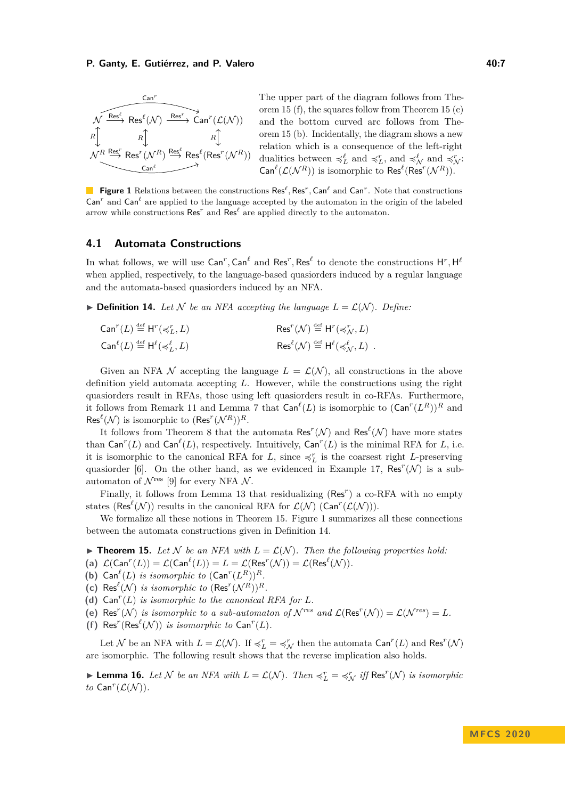<span id="page-6-4"></span>

The upper part of the diagram follows from Theorem [15](#page-6-0) [\(f\)](#page-6-1), the squares follow from Theorem [15](#page-6-0) [\(c\)](#page-6-2) and the bottom curved arc follows from Theorem [15](#page-6-0) [\(b\)](#page-6-3). Incidentally, the diagram shows a new relation which is a consequence of the left-right dualities between  $\preccurlyeq_L^{\ell}$  and  $\preccurlyeq_L^r$ , and  $\preccurlyeq_N^{\ell}$  and  $\preccurlyeq_N^r$ .  $\textsf{Can}^{\ell}(\mathcal{L}(\mathcal{N}^R))$  is isomorphic to  $\textsf{Res}^{\ell}(\textsf{Res}^r(\mathcal{N}^R)).$ 

**Figure 1** Relations between the constructions  $\text{Res}^{\ell}$ ,  $\text{Res}^r$ ,  $\text{Can}^{\ell}$  and  $\text{Can}^r$ . Note that constructions  $\text{Can}^r$  and  $\text{Can}^{\ell}$  are applied to the language accepted by the automaton in the origin of the labeled arrow while constructions  $\text{Res}^r$  and  $\text{Res}^\ell$  are applied directly to the automaton.

## **4.1 Automata Constructions**

In what follows, we will use  $\mathsf{Can}^r,\mathsf{Can}^\ell$  and  $\mathsf{Res}^r,\mathsf{Res}^\ell$  to denote the constructions  $\mathsf{H}^r,\mathsf{H}^\ell$ when applied, respectively, to the language-based quasiorders induced by a regular language and the automata-based quasiorders induced by an NFA.

<span id="page-6-5"></span> $\blacktriangleright$  **Definition 14.** Let N be an NFA accepting the language  $L = \mathcal{L}(\mathcal{N})$ . Define:

| $\mathsf{Can}^r(L) \stackrel{\scriptscriptstyle\rm def}{=} \mathsf{H}^r({\preccurlyeq_L^r,L})$      | $\operatorname{Res}^r(\mathcal{N}) \stackrel{\text{def}}{=} H^r(\preccurlyeq_{\mathcal{N}}^r, L)$                  |
|-----------------------------------------------------------------------------------------------------|--------------------------------------------------------------------------------------------------------------------|
| $\mathsf{Can}^{\ell}(L) \stackrel{\text{\tiny def}}{=} \mathsf{H}^{\ell}(\preccurlyeq_L^{\ell}, L)$ | $\operatorname{Res}^{\ell}(\mathcal{N}) \stackrel{\text{def}}{=} H^{\ell}(\preccurlyeq_{\mathcal{N}}^{\ell}, L)$ . |

Given an NFA N accepting the language  $L = \mathcal{L}(\mathcal{N})$ , all constructions in the above definition yield automata accepting *L*. However, while the constructions using the right quasiorders result in RFAs, those using left quasiorders result in co-RFAs. Furthermore, it follows from Remark [11](#page-5-3) and Lemma [7](#page-4-4) that  $\text{Can}^{\ell}(L)$  is isomorphic to  $(\text{Can}^{r}(L^{R}))^{R}$  and  $\operatorname{Res}^{\ell}(\mathcal{N})$  is isomorphic to  $(\operatorname{Res}^r(\mathcal{N}^R))^R$ .

It follows from Theorem [8](#page-5-4) that the automata  $\text{Res}^r(\mathcal{N})$  and  $\text{Res}^{\ell}(\mathcal{N})$  have more states than  $\textsf{Can}^r(L)$  and  $\textsf{Can}^{\ell}(L)$ , respectively. Intuitively,  $\textsf{Can}^r(L)$  is the minimal RFA for *L*, i.e. it is isomorphic to the canonical RFA for *L*, since  $\preccurlyeq_L^r$  is the coarsest right *L*-preserving quasiorder [\[6\]](#page-13-10). On the other hand, as we evidenced in Example [17,](#page-7-1)  $\text{Res}^r(\mathcal{N})$  is a subautomaton of  $\mathcal{N}^{\text{res}}$  [\[9\]](#page-13-3) for every NFA  $\mathcal{N}$ .

Finally, it follows from Lemma [13](#page-5-5) that residualizing (Res<sup>r</sup>) a co-RFA with no empty states (Res<sup> $\ell$ </sup>(N)) results in the canonical RFA for  $\mathcal{L}(\mathcal{N})$  (Can<sup> $r$ </sup>( $\mathcal{L}(\mathcal{N})$ )).

We formalize all these notions in Theorem [15.](#page-6-0) Figure [1](#page-6-4) summarizes all these connections between the automata constructions given in Definition [14.](#page-6-5)

<span id="page-6-0"></span>**Findment 15.** Let N be an NFA with  $L = \mathcal{L}(\mathcal{N})$ . Then the following properties hold:

(a)  $\mathcal{L}(\text{Can}^r(L)) = \mathcal{L}(\text{Can}^{\ell}(L)) = L = \mathcal{L}(\text{Res}^r(\mathcal{N})) = \mathcal{L}(\text{Res}^{\ell}(\mathcal{N})).$ 

- <span id="page-6-3"></span>(b) Can<sup> $\ell$ </sup>(*L*) *is isomorphic to*  $(Can^r(L^R))^R$ *.*
- <span id="page-6-2"></span>(c) Res<sup> $\ell$ </sup>(N) *is isomorphic to* (Res<sup> $r$ </sup>(N<sup>R</sup>))<sup>R</sup>.
- <span id="page-6-6"></span>**(d)** Can*<sup>r</sup>* (*L*) *is isomorphic to the canonical RFA for L.*

(e) Res<sup>r</sup>(N) is isomorphic to a sub-automaton of  $\mathcal{N}^{res}$  and  $\mathcal{L}(Res^{r}(\mathcal{N})) = \mathcal{L}(\mathcal{N}^{res}) = L$ .

<span id="page-6-1"></span>(f) Res<sup> $r$ </sup>(Res<sup> $\ell$ </sup>( $\mathcal{N}$ )) *is isomorphic to* Can<sup> $r$ </sup>( $L$ ).

Let N be an NFA with  $L = \mathcal{L}(\mathcal{N})$ . If  $\preccurlyeq_L^r = \preccurlyeq_N^r$  then the automata  $\text{Can}^r(L)$  and  $\text{Res}^r(\mathcal{N})$ are isomorphic. The following result shows that the reverse implication also holds.

<span id="page-6-7"></span>**Lemma 16.** Let N be an NFA with  $L = \mathcal{L}(\mathcal{N})$ . Then  $\preccurlyeq_L^r = \preccurlyeq_N^r$  iff Res<sup>r</sup>(N) is isomorphic to  $\operatorname{Can}^r(\mathcal{L}(\mathcal{N}))$ .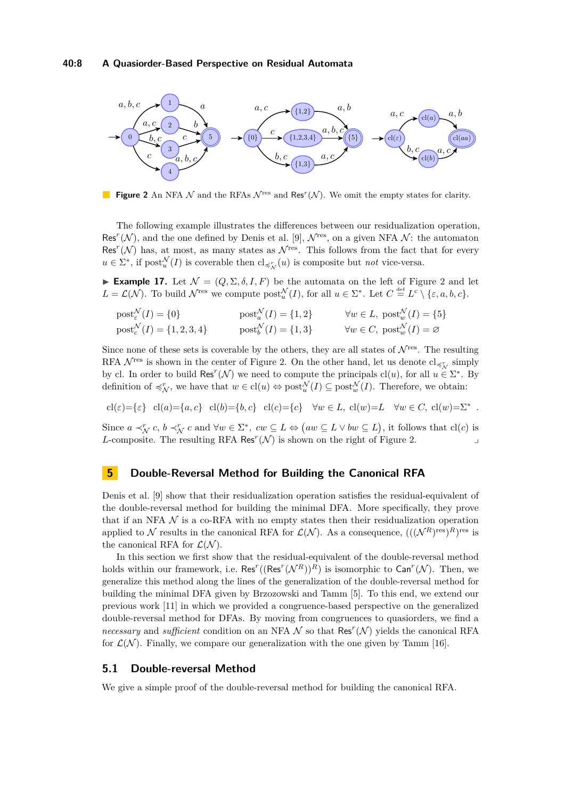<span id="page-7-2"></span>

**Figure 2** An NFA  $\mathcal N$  and the RFAs  $\mathcal N^{\text{res}}$  and Res<sup>r</sup>( $\mathcal N$ ). We omit the empty states for clarity.

The following example illustrates the differences between our residualization operation, Res<sup> $r(N)$ </sup>, and the one defined by Denis et al. [\[9\]](#page-13-3),  $\mathcal{N}^{\text{res}}$ , on a given NFA  $\mathcal{N}$ : the automaton Res<sup> $r(N)$ </sup> has, at most, as many states as  $\mathcal{N}^{\text{res}}$ . This follows from the fact that for every  $u \in \Sigma^*$ , if post $u^{\mathcal{N}}(I)$  is coverable then  $cl_{\preccurlyeq_{\mathcal{N}}^r}(u)$  is composite but *not* vice-versa.

<span id="page-7-1"></span>**Example 17.** Let  $\mathcal{N} = (Q, \Sigma, \delta, I, F)$  be the automata on the left of Figure [2](#page-7-2) and let  $L = \mathcal{L}(\mathcal{N})$ . To build  $\mathcal{N}^{\text{res}}$  we compute  $\text{post}_{u}^{\mathcal{N}}(I)$ , for all  $u \in \Sigma^*$ . Let  $C \stackrel{\text{def}}{=} L^c \setminus \{\varepsilon, a, b, c\}$ .

 $\text{post}_{\varepsilon}^{\mathcal{N}}(I) = \{0\}$   $\text{post}_{a}^{\mathcal{N}}(I) = \{1, 2\}$   $\forall w \in L, \text{ post}_{w}^{\mathcal{N}}(I) = \{5\}$  $\text{post}_{c}^{\mathcal{N}}(I) = \{1, 2, 3, 4\}$   $\text{post}_{b}^{\mathcal{N}}(I) = \{1, 3\}$   $\forall w \in C, \text{ post}_{w}^{\mathcal{N}}(I) = \emptyset$ 

Since none of these sets is coverable by the others, they are all states of  $\mathcal{N}^{\text{res}}$ . The resulting RFA  $\mathcal{N}^{\text{res}}$  is shown in the center of Figure [2.](#page-7-2) On the other hand, let us denote  $cl_{\preccurlyeq r}$  simply by cl. In order to build Res<sup>r</sup>(N) we need to compute the principals cl(*u*), for all  $u \in \Sigma^*$ . By definition of  $\preccurlyeq_N^r$ , we have that  $w \in \text{cl}(u) \Leftrightarrow \text{post}_u^{\mathcal{N}}(I) \subseteq \text{post}_w^{\mathcal{N}}(I)$ . Therefore, we obtain:

$$
cl(\varepsilon) = \{\varepsilon\} \quad cl(a) = \{a, c\} \quad cl(b) = \{b, c\} \quad cl(c) = \{c\} \quad \forall w \in L, cl(w) = L \quad \forall w \in C, cl(w) = \Sigma^*.
$$

Since  $a \prec_N^r c$ ,  $b \prec_N^r c$  and  $\forall w \in \Sigma^*$ ,  $cw \subseteq L \Leftrightarrow (aw \subseteq L \vee bw \subseteq L)$ , it follows that  $\text{cl}(c)$  is *L*-composite. The resulting RFA Res<sup> $r$ </sup>( $\mathcal{N}$ ) is shown on the right of Figure [2.](#page-7-2)

## <span id="page-7-0"></span>**5 Double-Reversal Method for Building the Canonical RFA**

Denis et al. [\[9\]](#page-13-3) show that their residualization operation satisfies the residual-equivalent of the double-reversal method for building the minimal DFA. More specifically, they prove that if an NFA  $\mathcal N$  is a co-RFA with no empty states then their residualization operation applied to N results in the canonical RFA for  $\mathcal{L}(\mathcal{N})$ . As a consequence,  $(((\mathcal{N}^R)^{\text{res}})^R)^{\text{res}}$  is the canonical RFA for  $\mathcal{L}(\mathcal{N})$ .

In this section we first show that the residual-equivalent of the double-reversal method holds within our framework, i.e.  $\text{Res}^r((\text{Res}^r(\mathcal{N}^R))^R)$  is isomorphic to  $\textsf{Can}^r(\mathcal{N})$ . Then, we generalize this method along the lines of the generalization of the double-reversal method for building the minimal DFA given by Brzozowski and Tamm [\[5\]](#page-12-1). To this end, we extend our previous work [\[11\]](#page-13-7) in which we provided a congruence-based perspective on the generalized double-reversal method for DFAs. By moving from congruences to quasiorders, we find a *necessary* and *sufficient* condition on an NFA  $\mathcal N$  so that Res<sup> $r$ </sup>( $\mathcal N$ ) yields the canonical RFA for  $\mathcal{L}(\mathcal{N})$ . Finally, we compare our generalization with the one given by Tamm [\[16\]](#page-13-5).

## **5.1 Double-reversal Method**

We give a simple proof of the double-reversal method for building the canonical RFA.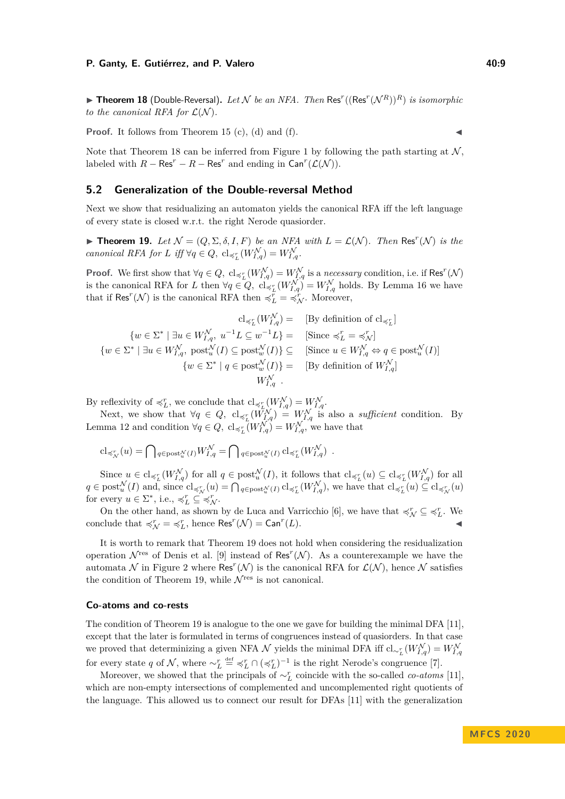<span id="page-8-0"></span> $\blacktriangleright$  **Theorem 18** (Double-Reversal). Let N be an NFA. Then Res<sup>r</sup>((Res<sup>r</sup>( $\mathcal{N}^R$ ))<sup>R</sup>) is isomorphic *to the canonical RFA for*  $\mathcal{L}(\mathcal{N})$ *.* 

**Proof.** It follows from Theorem [15](#page-6-0) [\(c\)](#page-6-2), [\(d\)](#page-6-6) and [\(f\)](#page-6-1).

Note that Theorem [18](#page-8-0) can be inferred from Figure [1](#page-6-4) by following the path starting at  $N$ , labeled with  $R - \text{Res}^r - R - \text{Res}^r$  and ending in  $\text{Can}^r(\mathcal{L}(\mathcal{N}))$ .

#### **5.2 Generalization of the Double-reversal Method**

Next we show that residualizing an automaton yields the canonical RFA iff the left language of every state is closed w.r.t. the right Nerode quasiorder.

<span id="page-8-1"></span>**Theorem 19.** Let  $\mathcal{N} = (Q, \Sigma, \delta, I, F)$  be an NFA with  $L = \mathcal{L}(\mathcal{N})$ . Then Res<sup>r</sup>(N) is the *canonical RFA for L iff*  $\forall q \in Q$ ,  $\text{cl}_{\preccurlyeq_L^r}(W_{I,q}^{\mathcal{N}}) = W_{I,q}^{\mathcal{N}}$ .

**Proof.** We first show that  $\forall q \in Q$ ,  $cl_{\preccurlyeq_L^r}(W_{I,q}^{\mathcal{N}}) = W_{I,q}^{\mathcal{N}}$  is a *necessary* condition, i.e. if Res<sup>*r*</sup>( $\mathcal{N}$ ) is the canonical RFA for *L* then  $\forall q \in Q$ ,  $\text{cl}_{\preccurlyeq_L^r}(W_{I,q}^{\mathcal{N}}) = W_{I,q}^{\mathcal{N}}$  holds. By Lemma [16](#page-6-7) we have that if  $\text{Res}^r(\mathcal{N})$  is the canonical RFA then  $\preccurlyeq_L^r = \preccurlyeq_N^r$ . Moreover,

$$
cl_{\preceq^r_L} (W_{I,q}^{\mathcal{N}}) = \text{ [By definition of } cl_{\preceq^r_L}]
$$
\n
$$
\{ w \in \Sigma^* \mid \exists u \in W_{I,q}^{\mathcal{N}}, u^{-1}L \subseteq w^{-1}L \} = \text{ [Since } \preceq^r_L = \preceq^r_{\mathcal{N}}] \}
$$
\n
$$
\{ w \in \Sigma^* \mid \exists u \in W_{I,q}^{\mathcal{N}}, \text{ post}_u^{\mathcal{N}}(I) \subseteq \text{post}_w^{\mathcal{N}}(I) \} \subseteq \text{ [Since } u \in W_{I,q}^{\mathcal{N}} \Leftrightarrow q \in \text{post}_u^{\mathcal{N}}(I) \}
$$
\n
$$
\{ w \in \Sigma^* \mid q \in \text{post}_w^{\mathcal{N}}(I) \} = \text{ [By definition of } W_{I,q}^{\mathcal{N}}] \}
$$
\n
$$
W_{I,q}^{\mathcal{N}}.
$$

By reflexivity of  $\preccurlyeq_L^r$ , we conclude that  $\text{cl}_{\preccurlyeq_L^r}(W_{I,q}^{\mathcal{N}}) = W_{I,q}^{\mathcal{N}}$ .

Next, we show that  $\forall q \in Q$ ,  $cl_{\preccurlyeq_L^r}(W_{I,q}^N) = W_{I,q}^N$  is also a *sufficient* condition. By Lemma [12](#page-5-6) and condition  $\forall q \in Q$ ,  $\text{cl}_{\preccurlyeq_L^r}(W_{I,q}^{\mathcal{N}}) = W_{I,q}^{\mathcal{N}}$ , we have that

$$
\mathrm{cl}_{\preccurlyeq^r_{\mathcal{N}}}(u) = \bigcap \, {}_{q \in \mathrm{post}^{\mathcal{N}}_{u}(I)} W_{I,q}^{\mathcal{N}} = \bigcap \, {}_{q \in \mathrm{post}^{\mathcal{N}}_{u}(I)} \, \mathrm{cl}_{\preccurlyeq^r_{L}} (W_{I,q}^{\mathcal{N}}) \; \; .
$$

Since  $u \in cl_{\preccurlyeq_L^r}(W_{I,q}^{\mathcal{N}})$  for all  $q \in \text{post}_u^{\mathcal{N}}(I)$ , it follows that  $cl_{\preccurlyeq_L^r}(u) \subseteq cl_{\preccurlyeq_L^r}(W_{I,q}^{\mathcal{N}})$  for all  $q \in \text{post}_{u}^{\mathcal{N}}(I)$  and, since  $\text{cl}_{\preccurlyeq_{\mathcal{N}}^r}(u) = \bigcap_{q \in \text{post}_{u}^{\mathcal{N}}(I)} \text{cl}_{\preccurlyeq_{L}^r}(W_{I,q}^{\mathcal{N}})$ , we have that  $\text{cl}_{\preccurlyeq_{L}^r}(u) \subseteq \text{cl}_{\preccurlyeq_{\mathcal{N}}^r}(u)$ for every  $u \in \Sigma^*$ , i.e.,  $\preccurlyeq_L^r \subseteq \preccurlyeq_N^r$ .

On the other hand, as shown by de Luca and Varricchio [\[6\]](#page-13-10), we have that  $\preccurlyeq_N^r \subseteq \preccurlyeq_L^r$ . We conclude that  $\preccurlyeq^r_\mathcal{N} \, = \, \preccurlyeq^r_L$ , hence  $\mathsf{Res}^r(\mathcal{N}) = \mathsf{Can}^r$  $(L).$ 

It is worth to remark that Theorem [19](#page-8-1) does not hold when considering the residualization operation  $\mathcal{N}^{\text{res}}$  of Denis et al. [\[9\]](#page-13-3) instead of Res<sup>r</sup>( $\mathcal{N}$ ). As a counterexample we have the automata  $\mathcal N$  in Figure [2](#page-7-2) where Res<sup> $r(\mathcal N)$ </sup> is the canonical RFA for  $\mathcal L(\mathcal N)$ , hence  $\mathcal N$  satisfies the condition of Theorem [19,](#page-8-1) while  $\mathcal{N}^{\text{res}}$  is not canonical.

#### **Co-atoms and co-rests**

The condition of Theorem [19](#page-8-1) is analogue to the one we gave for building the minimal DFA [\[11\]](#page-13-7), except that the later is formulated in terms of congruences instead of quasiorders. In that case we proved that determinizing a given NFA  $N$  yields the minimal DFA iff  $cl_{\sim_L^r}(W_{I,q}^{\mathcal{N}}) = W_{I,q}^{\mathcal{N}}$ for every state *q* of  $N$ , where  $\sim_L^r \stackrel{\text{def}}{=} \preccurlyeq_L^r \cap (\preccurlyeq_L^r)^{-1}$  is the right Nerode's congruence [\[7\]](#page-13-9).

Moreover, we showed that the principals of  $\sim_L^r$  coincide with the so-called *co-atoms* [\[11\]](#page-13-7), which are non-empty intersections of complemented and uncomplemented right quotients of the language. This allowed us to connect our result for DFAs [\[11\]](#page-13-7) with the generalization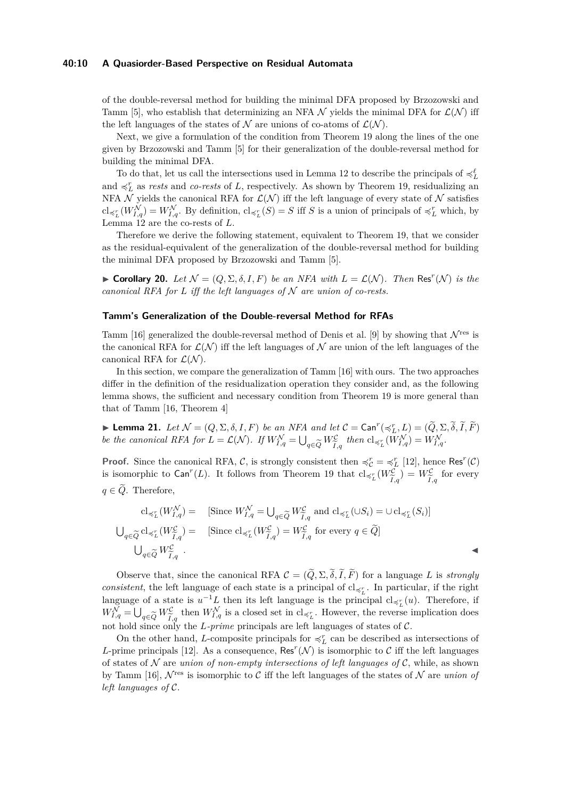#### **40:10 A Quasiorder-Based Perspective on Residual Automata**

of the double-reversal method for building the minimal DFA proposed by Brzozowski and Tamm [\[5\]](#page-12-1), who establish that determinizing an NFA  $\mathcal N$  yields the minimal DFA for  $\mathcal L(\mathcal N)$  iff the left languages of the states of N are unions of co-atoms of  $\mathcal{L}(\mathcal{N})$ .

Next, we give a formulation of the condition from Theorem [19](#page-8-1) along the lines of the one given by Brzozowski and Tamm [\[5\]](#page-12-1) for their generalization of the double-reversal method for building the minimal DFA.

To do that, let us call the intersections used in Lemma [12](#page-5-6) to describe the principals of  $\preccurlyeq_L^{\ell}$ and  $\preccurlyeq_L^r$  as *rests* and *co-rests* of *L*, respectively. As shown by Theorem [19,](#page-8-1) residualizing an NFA  $\mathcal N$  yields the canonical RFA for  $\mathcal L(\mathcal N)$  iff the left language of every state of  $\mathcal N$  satisfies  $\text{cl}_{\preccurlyeq_L^r}(W_{I,q}^{\mathcal{N}}) = W_{I,q}^{\mathcal{N}}$ . By definition,  $\text{cl}_{\preccurlyeq_L^r}(S) = S$  iff *S* is a union of principals of  $\preccurlyeq_L^r$  which, by Lemma [12](#page-5-6) are the co-rests of *L*.

Therefore we derive the following statement, equivalent to Theorem [19,](#page-8-1) that we consider as the residual-equivalent of the generalization of the double-reversal method for building the minimal DFA proposed by Brzozowski and Tamm [\[5\]](#page-12-1).

► **Corollary 20.** *Let*  $\mathcal{N} = (Q, \Sigma, \delta, I, F)$  *be an NFA with*  $L = \mathcal{L}(\mathcal{N})$ *. Then* Res<sup>*r*</sup>( $\mathcal{N}$ ) *is the canonical RFA for*  $L$  *iff the left languages of*  $N$  *are union of co-rests.* 

## **Tamm's Generalization of the Double-reversal Method for RFAs**

Tamm [\[16\]](#page-13-5) generalized the double-reversal method of Denis et al. [\[9\]](#page-13-3) by showing that  $\mathcal{N}^{\text{res}}$  is the canonical RFA for  $\mathcal{L}(\mathcal{N})$  iff the left languages of N are union of the left languages of the canonical RFA for  $\mathcal{L}(\mathcal{N})$ .

In this section, we compare the generalization of Tamm [\[16\]](#page-13-5) with ours. The two approaches differ in the definition of the residualization operation they consider and, as the following lemma shows, the sufficient and necessary condition from Theorem [19](#page-8-1) is more general than that of Tamm [\[16,](#page-13-5) Theorem 4]

**Lemma 21.** *Let*  $\mathcal{N} = (Q, \Sigma, \delta, I, F)$  *be an NFA and let*  $C = \text{Can}^r(\preccurlyeq_L^r, L) = (\widetilde{Q}, \Sigma, \widetilde{\delta}, \widetilde{I}, \widetilde{F})$ *be the canonical RFA for*  $L = \mathcal{L}(\mathcal{N})$ *. If*  $W_{I,q}^{\mathcal{N}} = \bigcup_{q \in \widetilde{Q}} W_{\widetilde{I},q}^{\mathcal{C}}$  then  $\text{cl}_{\preccurlyeq_L^{\mathcal{K}}} (W_{I,q}^{\mathcal{N}}) = W_{I,q}^{\mathcal{N}}$ *.*  $I,q$ 

**Proof.** Since the canonical RFA, C, is strongly consistent then  $\preccurlyeq_c^r = \preccurlyeq_L^r$  [\[12\]](#page-13-8), hence Res<sup>*r*</sup>(C) is isomorphic to  $\textsf{Can}^r(L)$ . It follows from Theorem [19](#page-8-1) that  $\text{cl}_{\preccurlyeq_L^r}(W_{\widetilde{L}}^{\mathcal{C}})$  $I,q$  $= W_{\widetilde{\tau}}^{\mathcal{C}}$  $I, q$ for every  $q \in \tilde{Q}$ . Therefore,

$$
\mathrm{cl}_{\preccurlyeq_L^r}(W_{I,q}^{\mathcal{N}}) = \quad \text{[Since } W_{I,q}^{\mathcal{N}} = \bigcup_{q \in \widetilde{Q}} W_{\widetilde{I},q}^{\mathcal{C}} \text{ and } \mathrm{cl}_{\preccurlyeq_L^r}(\cup S_i) = \cup \mathrm{cl}_{\preccurlyeq_L^r}(S_i) \text{]}
$$
\n
$$
\bigcup_{q \in \widetilde{Q}} \mathrm{cl}_{\preccurlyeq_L^r}(W_{\widetilde{I},q}^{\mathcal{C}}) = \quad \text{[Since } \mathrm{cl}_{\preccurlyeq_L^r}(W_{\widetilde{I},q}^{\mathcal{C}}) = W_{\widetilde{I},q}^{\mathcal{C}} \text{ for every } q \in \widetilde{Q} \text{]}
$$
\n
$$
\bigcup_{q \in \widetilde{Q}} W_{\widetilde{I},q}^{\mathcal{C}} \ .
$$

Observe that, since the canonical RFA  $\mathcal{C} = (\tilde{Q}, \Sigma, \tilde{\delta}, \tilde{I}, \tilde{F})$  for a language *L* is *strongly consistent*, the left language of each state is a principal of  $cl_{\preccurlyeq 7}$ . In particular, if the right language of a state is  $u^{-1}L$  then its left language is the principal  $cl_{\preccurlyeq_L^r}(u)$ . Therefore, if  $W_{I,q}^{\mathcal{N}} = \bigcup_{q \in \widetilde{Q}} W_{\widetilde{I},q}^{\mathcal{C}}$  then  $W_{I,q}^{\mathcal{N}}$  is a closed set in  $cl_{\preccurlyeq_L^r}$ . However, the reverse implication does not hold since only the *L*-*nrime* principals are left languages of states of  $I, q \rightarrow I, q$ <br>not hold since only the *L-prime* principals are left languages of states of C.

On the other hand, *L*-composite principals for  $\preccurlyeq_L^r$  can be described as intersections of *L*-prime principals [\[12\]](#page-13-8). As a consequence,  $\text{Res}^r(\mathcal{N})$  is isomorphic to C iff the left languages of states of N are *union of non-empty intersections of left languages of* C, while, as shown by Tamm [\[16\]](#page-13-5),  $\mathcal{N}^{\text{res}}$  is isomorphic to C iff the left languages of the states of  $\mathcal{N}$  are *union of left languages of* C.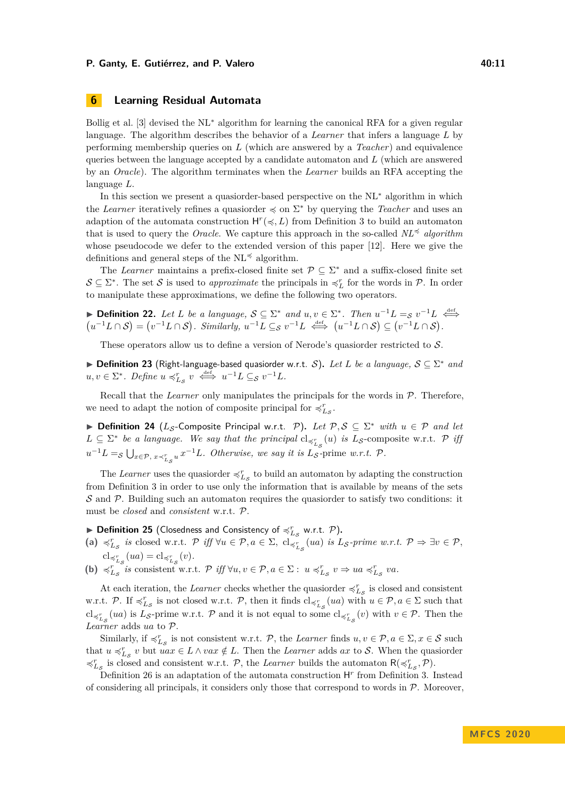#### **P. Ganty, E. Gutiérrez, and P. Valero 40:11 10:11 40:11**

# <span id="page-10-0"></span>**6 Learning Residual Automata**

Bollig et al. [\[3\]](#page-12-3) devised the NL<sup>∗</sup> algorithm for learning the canonical RFA for a given regular language. The algorithm describes the behavior of a *Learner* that infers a language *L* by performing membership queries on *L* (which are answered by a *Teacher*) and equivalence queries between the language accepted by a candidate automaton and *L* (which are answered by an *Oracle*). The algorithm terminates when the *Learner* builds an RFA accepting the language *L*.

In this section we present a quasiorder-based perspective on the NL<sup>∗</sup> algorithm in which the *Learner* iteratively refines a quasiorder  $\preccurlyeq$  on  $\Sigma^*$  by querying the *Teacher* and uses an adaption of the automata construction  $H^r(\prec, L)$  from Definition [3](#page-4-0) to build an automaton that is used to query the *Oracle*. We capture this approach in the so-called  $NL^{\preccurlyeq}$  *algorithm* whose pseudocode we defer to the extended version of this paper [\[12\]](#page-13-8). Here we give the definitions and general steps of the  $NL \preceq$  algorithm.

The *Learner* maintains a prefix-closed finite set  $P \subseteq \Sigma^*$  and a suffix-closed finite set  $\mathcal{S} \subseteq \Sigma^*$ . The set  $\mathcal{S}$  is used to *approximate* the principals in  $\preccurlyeq_L^r$  for the words in  $\mathcal{P}$ . In order to manipulate these approximations, we define the following two operators.

<span id="page-10-1"></span>▶ **Definition 22.** Let L be a language,  $S \subseteq \Sigma^*$  and  $u, v \in \Sigma^*$ . Then  $u^{-1}L =_S v^{-1}L \stackrel{\text{def}}{\iff}$  $\left($  $\iff$  $u^{-1}L \cap S$  =  $(v^{-1}L \cap S)$ . Similarly,  $u^{-1}L \subseteq_S v^{-1}L \iff (u^{-1}L \cap S) \subseteq (v^{-1}L \cap S)$ .

These operators allow us to define a version of Nerode's quasiorder restricted to S.

▶ **Definition 23** (Right-language-based quasiorder w.r.t. S). Let L be a language,  $S \subseteq \Sigma^*$  and  $u, v \in \Sigma^*$ . Define  $u \preccurlyeq_{L_S}^r v \iff u^{-1}L \subseteq_S v^{-1}L$ .

Recall that the *Learner* only manipulates the principals for the words in P. Therefore, we need to adapt the notion of composite principal for  $\preccurlyeq^r_{L_S}$ .

▶ **Definition 24** ( $L_S$ -Composite Principal w.r.t. P). Let  $P, S \subseteq \Sigma^*$  with  $u \in P$  and let  $L \subseteq \Sigma^*$  *be a language. We say that the principal*  $cl_{\preccurlyeq^r_{L_\lambda}}(u)$  *is*  $L_{\mathcal{S}}$ -composite w.r.t.  $\mathcal{P}$  *iff*  $u^{-1}L =_S \bigcup_{x \in \mathcal{P}, x \prec_{L_S}^r u} x^{-1}L$ *. Otherwise, we say it is*  $L_S$ -prime *w.r.t.* P*.* 

The *Learner* uses the quasiorder  $\preccurlyeq^r_{L_{\mathcal{S}}}$  to build an automaton by adapting the construction from Definition [3](#page-4-0) in order to use only the information that is available by means of the sets  $\mathcal S$  and  $\mathcal P$ . Building such an automaton requires the quasioner to satisfy two conditions: it must be *closed* and *consistent* w.r.t. P.

<span id="page-10-2"></span> $\blacktriangleright$  **Definition 25** (Closedness and Consistency of  $\preccurlyeq_{L_S}^r$  w.r.t.  $\mathcal{P}$ ).

- $\mathcal{L}_{L_{\mathcal{S}}}$  *is* closed w.r.t.  $\mathcal{P}$  *iff*  $\forall u \in \mathcal{P}, a \in \Sigma$ ,  $\text{cl}_{\preccurlyeq_{L_{\mathcal{S}}}^{r}}(ua)$  *is*  $L_{\mathcal{S}}$ -prime w.r.t.  $\mathcal{P} \Rightarrow \exists v \in \mathcal{P},$  $\operatorname{cl}_{\preccurlyeq^r_{L_\mathcal{S}}}(ua) = \operatorname{cl}_{\preccurlyeq^r_{L_\mathcal{S}}}(v).$
- **(b)**  $\preccurlyeq_{L_S}^r$  is consistent w.r.t.  $\mathcal{P}$  iff  $\forall u, v \in \mathcal{P}, a \in \Sigma : u \preccurlyeq_{L_S}^r v \Rightarrow ua \preccurlyeq_{L_S}^r va$ .

At each iteration, the *Learner* checks whether the quasiorder  $\preccurlyeq_{L_{\mathcal{S}}}^{r}$  is closed and consistent w.r.t. P. If  $\preccurlyeq^r_{\mathcal{L}_{\mathcal{S}}}$  is not closed w.r.t. P, then it finds  $cl_{\preccurlyeq^r_{\mathcal{L}_{\mathcal{S}}}}(ua)$  with  $u \in \mathcal{P}, a \in \Sigma$  such that  $cl_{\preccurlyeq^r_{L_\mathcal{S}}}(ua)$  is  $L_{\mathcal{S}}$ -prime w.r.t. P and it is not equal to some  $cl_{\preccurlyeq^r_{L_\mathcal{S}}}(v)$  with  $v \in \mathcal{P}$ . Then the *Learner* adds *ua* to P.

Similarly, if  $\preccurlyeq^r_{L_{\mathcal{S}}}$  is not consistent w.r.t. P, the *Learner* finds  $u, v \in \mathcal{P}, a \in \Sigma, x \in \mathcal{S}$  such that  $u \preccurlyeq_{L_S}^r v$  but  $uax \in L \wedge vax \notin L$ . Then the *Learner* adds  $ax$  to S. When the quasionder  $\preccurlyeq^r_{L_{\mathcal{S}}}$  is closed and consistent w.r.t.  $\mathcal{P}$ , the *Learner* builds the automaton  $\mathsf{R}(\preccurlyeq^r_{L_{\mathcal{S}}}, \mathcal{P})$ .

Definition [26](#page-11-0) is an adaptation of the automata construction  $H<sup>r</sup>$  from Definition [3.](#page-4-0) Instead of considering all principals, it considers only those that correspond to words in  $P$ . Moreover,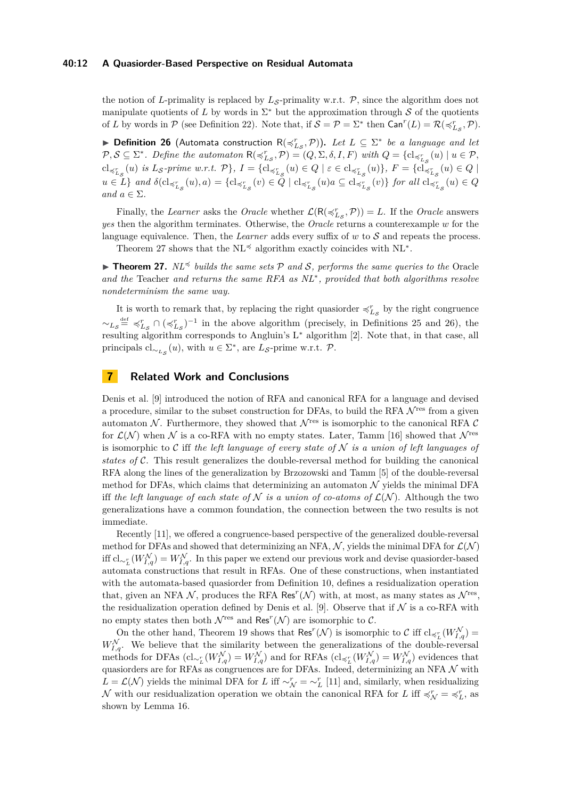#### **40:12 A Quasiorder-Based Perspective on Residual Automata**

the notion of *L*-primality is replaced by  $L_S$ -primality w.r.t.  $\mathcal{P}$ , since the algorithm does not manipulate quotients of L by words in  $\Sigma^*$  but the approximation through S of the quotients of *L* by words in  $P$  (see Definition [22\)](#page-10-1). Note that, if  $S = P = \Sigma^*$  then  $\text{Can}^r(L) = R(\preccurlyeq^r_{L_S}, P)$ .

<span id="page-11-0"></span>▶ **Definition 26** (Automata construction  $R(\preccurlyeq^{r}_{L_{\mathcal{S}}}, \mathcal{P})$ ). Let  $L \subseteq \Sigma^*$  be a language and let  $P, S \subseteq \Sigma^*$ . Define the automaton  $R(\preccurlyeq^r_{L_\mathcal{S}}, \mathcal{P}) = (Q, \Sigma, \delta, I, F)$  with  $Q = \{cl_{\preccurlyeq^r_{L_\mathcal{S}}}(u) \mid u \in \mathcal{P},$  $\mathrm{cl}_{\preccurlyeq^r_{L_\mathcal{S}}}(u)$  is  $L_{\mathcal{S}}$ -prime w.r.t.  $\mathcal{P}$ ,  $I = \{ \mathrm{cl}_{\preccurlyeq^r_{L_\mathcal{S}}}(u) \in Q \mid \varepsilon \in \mathrm{cl}_{\preccurlyeq^r_{L_\mathcal{S}}}(u) \}$ ,  $F = \{ \mathrm{cl}_{\preccurlyeq^r_{L_\mathcal{S}}}(u) \in Q \mid \varepsilon \in \mathrm{cl}_{\preccurlyeq^r_{L_\mathcal{S}}}(u) \}$  $u \in L$  and  $\delta(\mathrm{cl}_{\preccurlyeq_{L_S}^r}(u),a) = \{ \mathrm{cl}_{\preccurlyeq_{L_S}^r}(v) \in Q \mid \mathrm{cl}_{\preccurlyeq_{L_S}^r}(u)a \subseteq \mathrm{cl}_{\preccurlyeq_{L_S}^r}(v) \}$  for all  $\mathrm{cl}_{\preccurlyeq_{L_S}^r}(u) \in Q$ *and*  $a \in \Sigma$ *.* 

Finally, the *Learner* asks the *Oracle* whether  $\mathcal{L}(\mathsf{R}(\preccurlyeq_{L_\mathcal{S}}^r, \mathcal{P})) = L$ . If the *Oracle* answers *yes* then the algorithm terminates. Otherwise, the *Oracle* returns a counterexample *w* for the language equivalence. Then, the *Learner* adds every suffix of *w* to S and repeats the process.

Theorem [27](#page-11-1) shows that the NL<sup> $\preccurlyeq$ </sup> algorithm exactly coincides with NL<sup>\*</sup>.

<span id="page-11-1"></span>**In Theorem 27.**  $N\mathbb{L}^{\preccurlyeq}$  *builds the same sets*  $\mathcal{P}$  *and*  $\mathcal{S}$ *, performs the same queries to the* Oracle *and the* Teacher *and returns the same RFA as NL*<sup>∗</sup> *, provided that both algorithms resolve nondeterminism the same way.*

It is worth to remark that, by replacing the right quasiorder  $\preccurlyeq^r_{L\mathcal{S}}$  by the right congruence  $\sim$ <sub>*Ls*</sub><sup>def</sup>  $\preccurlyeq$ <sup>*r*</sup><sub>*Ls*</sub> ∩ ( $\preccurlyeq$ <sup>*r*</sup><sub>*Ls*</sub></sub>)<sup>-1</sup> in the above algorithm (precisely, in Definitions [25](#page-10-2) and [26\)](#page-11-0), the resulting algorithm corresponds to Angluin's L<sup>∗</sup> algorithm [\[2\]](#page-12-4). Note that, in that case, all principals  $\text{cl}_{\sim_{L_{\mathcal{S}}}}(u)$ , with  $u \in \Sigma^*$ , are  $L_{\mathcal{S}}$ -prime w.r.t.  $\mathcal{P}$ .

# **7 Related Work and Conclusions**

Denis et al. [\[9\]](#page-13-3) introduced the notion of RFA and canonical RFA for a language and devised a procedure, similar to the subset construction for DFAs, to build the RFA  $\mathcal{N}^{\text{res}}$  from a given automaton  $\mathcal N$ . Furthermore, they showed that  $\mathcal N^{\text{res}}$  is isomorphic to the canonical RFA  $\mathcal C$ for  $\mathcal{L}(\mathcal{N})$  when N is a co-RFA with no empty states. Later, Tamm [\[16\]](#page-13-5) showed that  $\mathcal{N}^{\text{res}}$ is isomorphic to C iff *the left language of every state of* N *is a union of left languages of states of* C. This result generalizes the double-reversal method for building the canonical RFA along the lines of the generalization by Brzozowski and Tamm [\[5\]](#page-12-1) of the double-reversal method for DFAs, which claims that determinizing an automaton  $\mathcal N$  yields the minimal DFA iff *the left language of each state of*  $N$  *is a union of co-atoms of*  $\mathcal{L}(\mathcal{N})$ . Although the two generalizations have a common foundation, the connection between the two results is not immediate.

Recently [\[11\]](#page-13-7), we offered a congruence-based perspective of the generalized double-reversal method for DFAs and showed that determinizing an NFA,  $\mathcal{N}$ , yields the minimal DFA for  $\mathcal{L}(\mathcal{N})$  $\text{iff } cl_{\sim_L^r}(W_{I,q}^{\mathcal{N}}) = W_{I,q}^{\mathcal{N}}.$  In this paper we extend our previous work and devise quasiorder-based automata constructions that result in RFAs. One of these constructions, when instantiated with the automata-based quasiorder from Definition [10,](#page-5-2) defines a residualization operation that, given an NFA  $\mathcal{N}$ , produces the RFA Res<sup>r</sup>( $\mathcal{N}$ ) with, at most, as many states as  $\mathcal{N}^{\text{res}}$ , the residualization operation defined by Denis et al. [\[9\]](#page-13-3). Observe that if  $\mathcal N$  is a co-RFA with no empty states then both  $\mathcal{N}^{\text{res}}$  and  $\text{Res}^r(\mathcal{N})$  are isomorphic to  $\mathcal{C}$ .

On the other hand, Theorem [19](#page-8-1) shows that  $\text{Res}^r(\mathcal{N})$  is isomorphic to C iff  $cl_{\preccurlyeq_L^r}(W_{I,q}^{\mathcal{N}})$  =  $W_{I,q}^{\mathcal{N}}$ . We believe that the similarity between the generalizations of the double-reversal  $\text{methods for DFAs } (\text{cl}_{\sim_L^r}(W_{I,q}^{\mathcal{N}}) = W_{I,q}^{\mathcal{N}}) \text{ and for RFAs } (\text{cl}_{\preccurlyeq_L^r}(W_{I,q}^{\mathcal{N}}) = W_{I,q}^{\mathcal{N}}) \text{ evidences that}$ quasiorders are for RFAs as congruences are for DFAs. Indeed, determinizing an NFA  $N$  with  $L = \mathcal{L}(\mathcal{N})$  yields the minimal DFA for *L* iff  $\sim_{\mathcal{N}}^{r} = \sim_{L}^{r}$  [\[11\]](#page-13-7) and, similarly, when residualizing N with our residualization operation we obtain the canonical RFA for L iff  $\preccurlyeq_L^r$ , as shown by Lemma [16.](#page-6-7)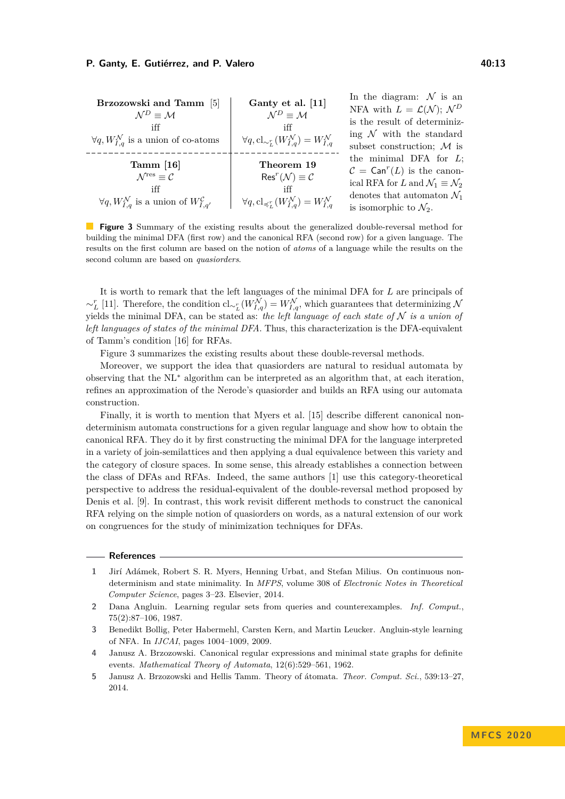<span id="page-12-5"></span>

| Brzozowski and Tamm [5]<br>$N^D = M$<br>iff<br>$\forall q, W_{I,q}^{\mathcal{N}}$ is a union of co-atoms                                         | Ganty et al. [11]<br>$\mathcal{N}^D \equiv \mathcal{M}$<br>iff<br>$\forall q, \text{cl}_{\sim_L^r}(W_{I,q}^{\mathcal{N}}) = W_{I,q}^{\mathcal{N}}$                               | In the diagram: $\mathcal N$ is an<br>NFA with $L = \mathcal{L}(\mathcal{N}); \mathcal{N}^D$<br>is the result of determiniz-<br>ing $N$ with the standard<br>subset construction; $M$ is                              |
|--------------------------------------------------------------------------------------------------------------------------------------------------|----------------------------------------------------------------------------------------------------------------------------------------------------------------------------------|-----------------------------------------------------------------------------------------------------------------------------------------------------------------------------------------------------------------------|
| Tamm $[16]$<br>$\mathcal{N}^{\text{res}} \equiv \mathcal{C}$<br>iff<br>$\forall q, W_{I,q}^{\mathcal{N}}$ is a union of $W_{I,q'}^{\mathcal{C}}$ | Theorem 19<br>$\operatorname{Res}^r(\mathcal{N}) \equiv \mathcal{C}$<br>iff<br>$\forall q, \operatorname{cl}_{\preccurlyeq^r_\tau}(W_{L,q}^{\mathcal{N}})=W_{L,q}^{\mathcal{N}}$ | the minimal DFA for $L$ ;<br>$\mathcal{C} = \text{Can}^r(L)$ is the canon-<br>ical RFA for L and $\mathcal{N}_1 \equiv \mathcal{N}_2$<br>denotes that automaton $\mathcal{N}_1$<br>is isomorphic to $\mathcal{N}_2$ . |

**Figure 3** Summary of the existing results about the generalized double-reversal method for building the minimal DFA (first row) and the canonical RFA (second row) for a given language. The results on the first column are based on the notion of *atoms* of a language while the results on the second column are based on *quasiorders*.

It is worth to remark that the left languages of the minimal DFA for *L* are principals of  $\sim_L^r$  [\[11\]](#page-13-7). Therefore, the condition cl<sub>∼*r*</sub></sub> $(W_{I,q}^{\mathcal{N}}) = W_{I,q}^{\mathcal{N}}$ , which guarantees that determinizing N yields the minimal DFA, can be stated as: *the left language of each state of*  $N$  *is a union of left languages of states of the minimal DFA*. Thus, this characterization is the DFA-equivalent of Tamm's condition [\[16\]](#page-13-5) for RFAs.

Figure [3](#page-12-5) summarizes the existing results about these double-reversal methods.

Moreover, we support the idea that quasiorders are natural to residual automata by observing that the NL<sup>∗</sup> algorithm can be interpreted as an algorithm that, at each iteration, refines an approximation of the Nerode's quasiorder and builds an RFA using our automata construction.

Finally, it is worth to mention that Myers et al. [\[15\]](#page-13-6) describe different canonical nondeterminism automata constructions for a given regular language and show how to obtain the canonical RFA. They do it by first constructing the minimal DFA for the language interpreted in a variety of join-semilattices and then applying a dual equivalence between this variety and the category of closure spaces. In some sense, this already establishes a connection between the class of DFAs and RFAs. Indeed, the same authors [\[1\]](#page-12-2) use this category-theoretical perspective to address the residual-equivalent of the double-reversal method proposed by Denis et al. [\[9\]](#page-13-3). In contrast, this work revisit different methods to construct the canonical RFA relying on the simple notion of quasiorders on words, as a natural extension of our work on congruences for the study of minimization techniques for DFAs.

#### **References**

- <span id="page-12-2"></span>**1** Jirí Adámek, Robert S. R. Myers, Henning Urbat, and Stefan Milius. On continuous nondeterminism and state minimality. In *MFPS*, volume 308 of *Electronic Notes in Theoretical Computer Science*, pages 3–23. Elsevier, 2014.
- <span id="page-12-4"></span>**2** Dana Angluin. Learning regular sets from queries and counterexamples. *Inf. Comput.*, 75(2):87–106, 1987.
- <span id="page-12-3"></span>**3** Benedikt Bollig, Peter Habermehl, Carsten Kern, and Martin Leucker. Angluin-style learning of NFA. In *IJCAI*, pages 1004–1009, 2009.
- <span id="page-12-0"></span>**4** Janusz A. Brzozowski. Canonical regular expressions and minimal state graphs for definite events. *Mathematical Theory of Automata*, 12(6):529–561, 1962.
- <span id="page-12-1"></span>**5** Janusz A. Brzozowski and Hellis Tamm. Theory of átomata. *Theor. Comput. Sci.*, 539:13–27, 2014.